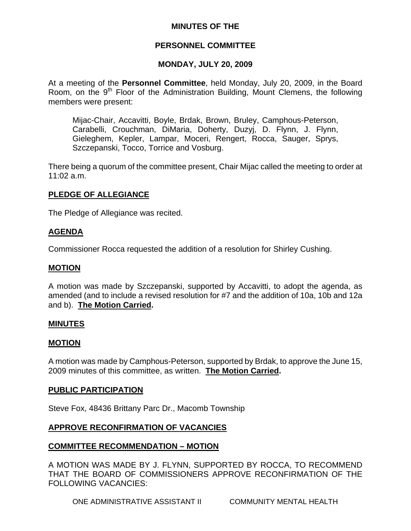# **MINUTES OF THE**

# **PERSONNEL COMMITTEE**

# **MONDAY, JULY 20, 2009**

At a meeting of the **Personnel Committee**, held Monday, July 20, 2009, in the Board Room, on the 9<sup>th</sup> Floor of the Administration Building, Mount Clemens, the following members were present:

Mijac-Chair, Accavitti, Boyle, Brdak, Brown, Bruley, Camphous-Peterson, Carabelli, Crouchman, DiMaria, Doherty, Duzyj, D. Flynn, J. Flynn, Gieleghem, Kepler, Lampar, Moceri, Rengert, Rocca, Sauger, Sprys, Szczepanski, Tocco, Torrice and Vosburg.

There being a quorum of the committee present, Chair Mijac called the meeting to order at 11:02 a.m.

## **PLEDGE OF ALLEGIANCE**

The Pledge of Allegiance was recited.

# **AGENDA**

Commissioner Rocca requested the addition of a resolution for Shirley Cushing.

#### **MOTION**

A motion was made by Szczepanski, supported by Accavitti, to adopt the agenda, as amended (and to include a revised resolution for #7 and the addition of 10a, 10b and 12a and b). **The Motion Carried.** 

#### **MINUTES**

#### **MOTION**

A motion was made by Camphous-Peterson, supported by Brdak, to approve the June 15, 2009 minutes of this committee, as written. **The Motion Carried.** 

#### **PUBLIC PARTICIPATION**

Steve Fox, 48436 Brittany Parc Dr., Macomb Township

# **APPROVE RECONFIRMATION OF VACANCIES**

# **COMMITTEE RECOMMENDATION – MOTION**

A MOTION WAS MADE BY J. FLYNN, SUPPORTED BY ROCCA, TO RECOMMEND THAT THE BOARD OF COMMISSIONERS APPROVE RECONFIRMATION OF THE FOLLOWING VACANCIES:

ONE ADMINISTRATIVE ASSISTANT II COMMUNITY MENTAL HEALTH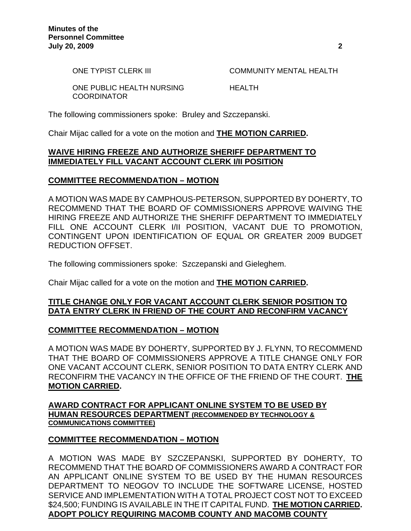ONE TYPIST CLERK III COMMUNITY MENTAL HEALTH

ONE PUBLIC HEALTH NURSING HEALTH **COORDINATOR** 

The following commissioners spoke: Bruley and Szczepanski.

Chair Mijac called for a vote on the motion and **THE MOTION CARRIED.** 

# **WAIVE HIRING FREEZE AND AUTHORIZE SHERIFF DEPARTMENT TO IMMEDIATELY FILL VACANT ACCOUNT CLERK I/II POSITION**

## **COMMITTEE RECOMMENDATION – MOTION**

A MOTION WAS MADE BY CAMPHOUS-PETERSON, SUPPORTED BY DOHERTY, TO RECOMMEND THAT THE BOARD OF COMMISSIONERS APPROVE WAIVING THE HIRING FREEZE AND AUTHORIZE THE SHERIFF DEPARTMENT TO IMMEDIATELY FILL ONE ACCOUNT CLERK I/II POSITION, VACANT DUE TO PROMOTION, CONTINGENT UPON IDENTIFICATION OF EQUAL OR GREATER 2009 BUDGET REDUCTION OFFSET.

The following commissioners spoke: Szczepanski and Gieleghem.

Chair Mijac called for a vote on the motion and **THE MOTION CARRIED.**

## **TITLE CHANGE ONLY FOR VACANT ACCOUNT CLERK SENIOR POSITION TO DATA ENTRY CLERK IN FRIEND OF THE COURT AND RECONFIRM VACANCY**

# **COMMITTEE RECOMMENDATION – MOTION**

A MOTION WAS MADE BY DOHERTY, SUPPORTED BY J. FLYNN, TO RECOMMEND THAT THE BOARD OF COMMISSIONERS APPROVE A TITLE CHANGE ONLY FOR ONE VACANT ACCOUNT CLERK, SENIOR POSITION TO DATA ENTRY CLERK AND RECONFIRM THE VACANCY IN THE OFFICE OF THE FRIEND OF THE COURT. **THE MOTION CARRIED.** 

## **AWARD CONTRACT FOR APPLICANT ONLINE SYSTEM TO BE USED BY HUMAN RESOURCES DEPARTMENT (RECOMMENDED BY TECHNOLOGY & COMMUNICATIONS COMMITTEE)**

# **COMMITTEE RECOMMENDATION – MOTION**

A MOTION WAS MADE BY SZCZEPANSKI, SUPPORTED BY DOHERTY, TO RECOMMEND THAT THE BOARD OF COMMISSIONERS AWARD A CONTRACT FOR AN APPLICANT ONLINE SYSTEM TO BE USED BY THE HUMAN RESOURCES DEPARTMENT TO NEOGOV TO INCLUDE THE SOFTWARE LICENSE, HOSTED SERVICE AND IMPLEMENTATION WITH A TOTAL PROJECT COST NOT TO EXCEED \$24,500; FUNDING IS AVAILABLE IN THE IT CAPITAL FUND. **THE MOTION CARRIED. ADOPT POLICY REQUIRING MACOMB COUNTY AND MACOMB COUNTY**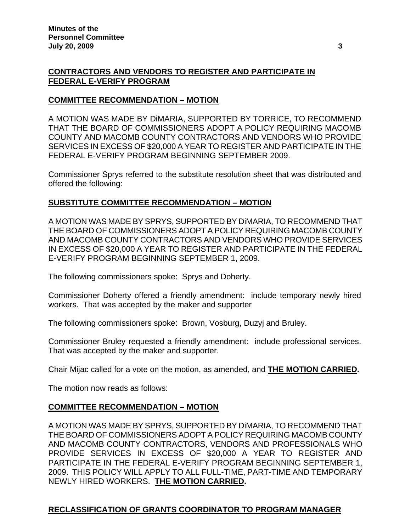# **CONTRACTORS AND VENDORS TO REGISTER AND PARTICIPATE IN FEDERAL E-VERIFY PROGRAM**

## **COMMITTEE RECOMMENDATION – MOTION**

A MOTION WAS MADE BY DiMARIA, SUPPORTED BY TORRICE, TO RECOMMEND THAT THE BOARD OF COMMISSIONERS ADOPT A POLICY REQUIRING MACOMB COUNTY AND MACOMB COUNTY CONTRACTORS AND VENDORS WHO PROVIDE SERVICES IN EXCESS OF \$20,000 A YEAR TO REGISTER AND PARTICIPATE IN THE FEDERAL E-VERIFY PROGRAM BEGINNING SEPTEMBER 2009.

Commissioner Sprys referred to the substitute resolution sheet that was distributed and offered the following:

## **SUBSTITUTE COMMITTEE RECOMMENDATION – MOTION**

A MOTION WAS MADE BY SPRYS, SUPPORTED BY DiMARIA, TO RECOMMEND THAT THE BOARD OF COMMISSIONERS ADOPT A POLICY REQUIRING MACOMB COUNTY AND MACOMB COUNTY CONTRACTORS AND VENDORS WHO PROVIDE SERVICES IN EXCESS OF \$20,000 A YEAR TO REGISTER AND PARTICIPATE IN THE FEDERAL E-VERIFY PROGRAM BEGINNING SEPTEMBER 1, 2009.

The following commissioners spoke: Sprys and Doherty.

Commissioner Doherty offered a friendly amendment: include temporary newly hired workers. That was accepted by the maker and supporter

The following commissioners spoke: Brown, Vosburg, Duzyj and Bruley.

Commissioner Bruley requested a friendly amendment: include professional services. That was accepted by the maker and supporter.

Chair Mijac called for a vote on the motion, as amended, and **THE MOTION CARRIED.** 

The motion now reads as follows:

# **COMMITTEE RECOMMENDATION – MOTION**

A MOTION WAS MADE BY SPRYS, SUPPORTED BY DiMARIA, TO RECOMMEND THAT THE BOARD OF COMMISSIONERS ADOPT A POLICY REQUIRING MACOMB COUNTY AND MACOMB COUNTY CONTRACTORS, VENDORS AND PROFESSIONALS WHO PROVIDE SERVICES IN EXCESS OF \$20,000 A YEAR TO REGISTER AND PARTICIPATE IN THE FEDERAL E-VERIFY PROGRAM BEGINNING SEPTEMBER 1, 2009. THIS POLICY WILL APPLY TO ALL FULL-TIME, PART-TIME AND TEMPORARY NEWLY HIRED WORKERS. **THE MOTION CARRIED.** 

#### **RECLASSIFICATION OF GRANTS COORDINATOR TO PROGRAM MANAGER**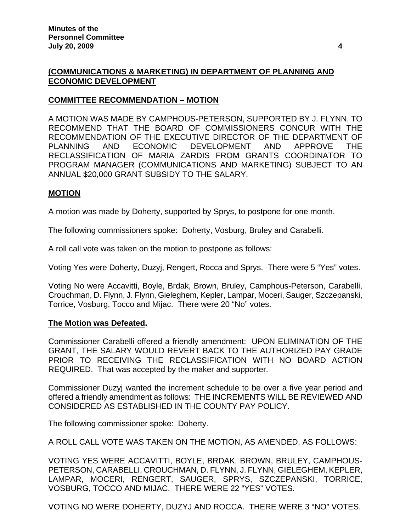# **(COMMUNICATIONS & MARKETING) IN DEPARTMENT OF PLANNING AND ECONOMIC DEVELOPMENT**

## **COMMITTEE RECOMMENDATION – MOTION**

A MOTION WAS MADE BY CAMPHOUS-PETERSON, SUPPORTED BY J. FLYNN, TO RECOMMEND THAT THE BOARD OF COMMISSIONERS CONCUR WITH THE RECOMMENDATION OF THE EXECUTIVE DIRECTOR OF THE DEPARTMENT OF PLANNING AND ECONOMIC DEVELOPMENT AND APPROVE THE RECLASSIFICATION OF MARIA ZARDIS FROM GRANTS COORDINATOR TO PROGRAM MANAGER (COMMUNICATIONS AND MARKETING) SUBJECT TO AN ANNUAL \$20,000 GRANT SUBSIDY TO THE SALARY.

## **MOTION**

A motion was made by Doherty, supported by Sprys, to postpone for one month.

The following commissioners spoke: Doherty, Vosburg, Bruley and Carabelli.

A roll call vote was taken on the motion to postpone as follows:

Voting Yes were Doherty, Duzyj, Rengert, Rocca and Sprys. There were 5 "Yes" votes.

Voting No were Accavitti, Boyle, Brdak, Brown, Bruley, Camphous-Peterson, Carabelli, Crouchman, D. Flynn, J. Flynn, Gieleghem, Kepler, Lampar, Moceri, Sauger, Szczepanski, Torrice, Vosburg, Tocco and Mijac. There were 20 "No" votes.

#### **The Motion was Defeated.**

Commissioner Carabelli offered a friendly amendment: UPON ELIMINATION OF THE GRANT, THE SALARY WOULD REVERT BACK TO THE AUTHORIZED PAY GRADE PRIOR TO RECEIVING THE RECLASSIFICATION WITH NO BOARD ACTION REQUIRED. That was accepted by the maker and supporter.

Commissioner Duzyj wanted the increment schedule to be over a five year period and offered a friendly amendment as follows: THE INCREMENTS WILL BE REVIEWED AND CONSIDERED AS ESTABLISHED IN THE COUNTY PAY POLICY.

The following commissioner spoke: Doherty.

A ROLL CALL VOTE WAS TAKEN ON THE MOTION, AS AMENDED, AS FOLLOWS:

VOTING YES WERE ACCAVITTI, BOYLE, BRDAK, BROWN, BRULEY, CAMPHOUS-PETERSON, CARABELLI, CROUCHMAN, D. FLYNN, J. FLYNN, GIELEGHEM, KEPLER, LAMPAR, MOCERI, RENGERT, SAUGER, SPRYS, SZCZEPANSKI, TORRICE, VOSBURG, TOCCO AND MIJAC. THERE WERE 22 "YES" VOTES.

VOTING NO WERE DOHERTY, DUZYJ AND ROCCA. THERE WERE 3 "NO" VOTES.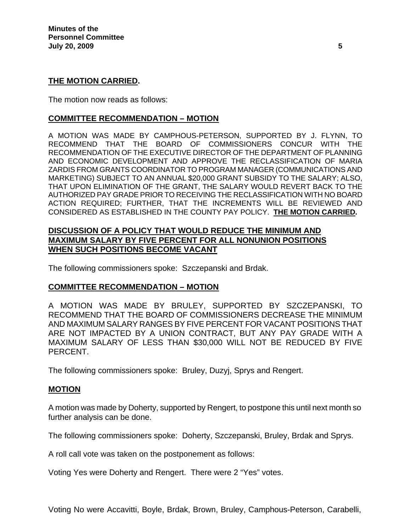### **THE MOTION CARRIED.**

The motion now reads as follows:

### **COMMITTEE RECOMMENDATION – MOTION**

A MOTION WAS MADE BY CAMPHOUS-PETERSON, SUPPORTED BY J. FLYNN, TO RECOMMEND THAT THE BOARD OF COMMISSIONERS CONCUR WITH THE RECOMMENDATION OF THE EXECUTIVE DIRECTOR OF THE DEPARTMENT OF PLANNING AND ECONOMIC DEVELOPMENT AND APPROVE THE RECLASSIFICATION OF MARIA ZARDIS FROM GRANTS COORDINATOR TO PROGRAM MANAGER (COMMUNICATIONS AND MARKETING) SUBJECT TO AN ANNUAL \$20,000 GRANT SUBSIDY TO THE SALARY; ALSO, THAT UPON ELIMINATION OF THE GRANT, THE SALARY WOULD REVERT BACK TO THE AUTHORIZED PAY GRADE PRIOR TO RECEIVING THE RECLASSIFICATION WITH NO BOARD ACTION REQUIRED; FURTHER, THAT THE INCREMENTS WILL BE REVIEWED AND CONSIDERED AS ESTABLISHED IN THE COUNTY PAY POLICY. **THE MOTION CARRIED.** 

# **DISCUSSION OF A POLICY THAT WOULD REDUCE THE MINIMUM AND MAXIMUM SALARY BY FIVE PERCENT FOR ALL NONUNION POSITIONS WHEN SUCH POSITIONS BECOME VACANT**

The following commissioners spoke: Szczepanski and Brdak.

# **COMMITTEE RECOMMENDATION – MOTION**

A MOTION WAS MADE BY BRULEY, SUPPORTED BY SZCZEPANSKI, TO RECOMMEND THAT THE BOARD OF COMMISSIONERS DECREASE THE MINIMUM AND MAXIMUM SALARY RANGES BY FIVE PERCENT FOR VACANT POSITIONS THAT ARE NOT IMPACTED BY A UNION CONTRACT, BUT ANY PAY GRADE WITH A MAXIMUM SALARY OF LESS THAN \$30,000 WILL NOT BE REDUCED BY FIVE PERCENT.

The following commissioners spoke: Bruley, Duzyj, Sprys and Rengert.

#### **MOTION**

A motion was made by Doherty, supported by Rengert, to postpone this until next month so further analysis can be done.

The following commissioners spoke: Doherty, Szczepanski, Bruley, Brdak and Sprys.

A roll call vote was taken on the postponement as follows:

Voting Yes were Doherty and Rengert. There were 2 "Yes" votes.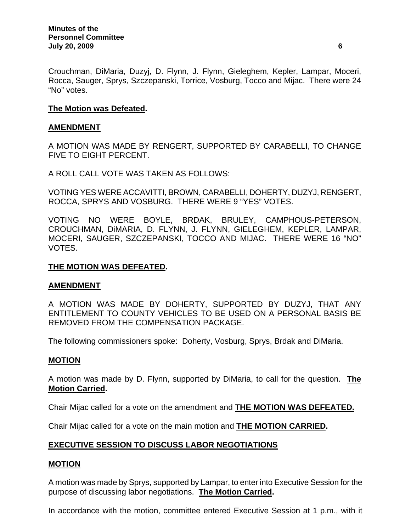Crouchman, DiMaria, Duzyj, D. Flynn, J. Flynn, Gieleghem, Kepler, Lampar, Moceri, Rocca, Sauger, Sprys, Szczepanski, Torrice, Vosburg, Tocco and Mijac. There were 24 "No" votes.

# **The Motion was Defeated.**

## **AMENDMENT**

A MOTION WAS MADE BY RENGERT, SUPPORTED BY CARABELLI, TO CHANGE FIVE TO EIGHT PERCENT.

A ROLL CALL VOTE WAS TAKEN AS FOLLOWS:

VOTING YES WERE ACCAVITTI, BROWN, CARABELLI, DOHERTY, DUZYJ, RENGERT, ROCCA, SPRYS AND VOSBURG. THERE WERE 9 "YES" VOTES.

VOTING NO WERE BOYLE, BRDAK, BRULEY, CAMPHOUS-PETERSON, CROUCHMAN, DiMARIA, D. FLYNN, J. FLYNN, GIELEGHEM, KEPLER, LAMPAR, MOCERI, SAUGER, SZCZEPANSKI, TOCCO AND MIJAC. THERE WERE 16 "NO" VOTES.

### **THE MOTION WAS DEFEATED.**

# **AMENDMENT**

A MOTION WAS MADE BY DOHERTY, SUPPORTED BY DUZYJ, THAT ANY ENTITLEMENT TO COUNTY VEHICLES TO BE USED ON A PERSONAL BASIS BE REMOVED FROM THE COMPENSATION PACKAGE.

The following commissioners spoke: Doherty, Vosburg, Sprys, Brdak and DiMaria.

#### **MOTION**

A motion was made by D. Flynn, supported by DiMaria, to call for the question. **The Motion Carried.** 

Chair Mijac called for a vote on the amendment and **THE MOTION WAS DEFEATED.**

Chair Mijac called for a vote on the main motion and **THE MOTION CARRIED.**

# **EXECUTIVE SESSION TO DISCUSS LABOR NEGOTIATIONS**

#### **MOTION**

A motion was made by Sprys, supported by Lampar, to enter into Executive Session for the purpose of discussing labor negotiations. **The Motion Carried.** 

In accordance with the motion, committee entered Executive Session at 1 p.m., with it